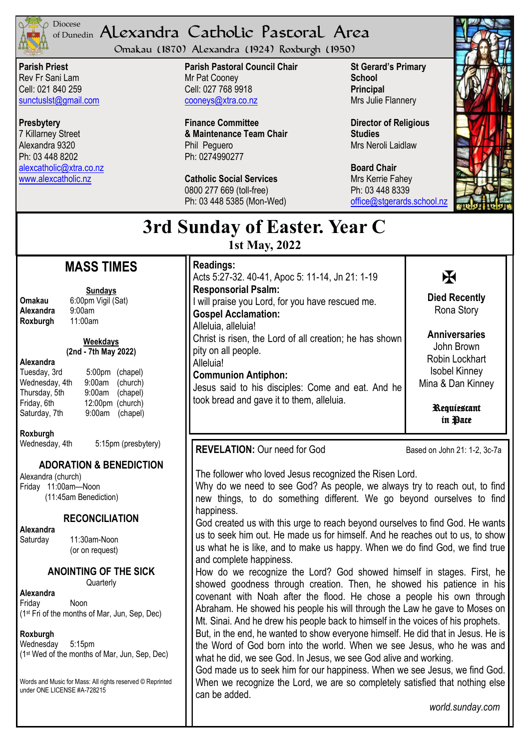

## of Dunedin Alexandra Catholic Pastoral Area Diocese

Omakau (1870) Alexandra (1924) Roxburgh (1950)

**Parish Priest** Rev Fr Sani Lam Cell: 021 840 259 [sunctuslst@gmail.com](mailto:mailto:sunctuslst@gmail.com)

**Presbytery** 7 Killarney Street Alexandra 9320 Ph: 03 448 8202 [alexcatholic@xtra.co.nz](mailto:mailto:alexcatholic@xtra.co.nz) www.alexcatholic.nz

**Parish Pastoral Council Chair** Mr Pat Cooney Cell: 027 768 9918 cooneys@xtra.co.nz

**Finance Committee & Maintenance Team Chair** Phil Peguero Ph: 0274990277

**Catholic Social Services**  0800 277 669 (toll-free) Ph: 03 448 5385 (Mon-Wed) **St Gerard's Primary School Principal** Mrs Julie Flannery

**Director of Religious Studies** Mrs Neroli Laidlaw

**Board Chair** Mrs Kerrie Fahey Ph: 03 448 8339 [office@stgerards.school.nz](mailto:mailto:office@stgerards.school.nz)



# **3rd Sunday of Easter. Year C**

**1st May, 2022**

# **MASS TIMES**

**Sundays**

**Omakau** 6:00pm Vigil (Sat)<br>**Alexandra** 9:00am **Alexandra** 9:00am<br>**Roxburgh** 11:00am **Roxburgh** 

**Weekdays (2nd - 7th May 2022)** 

#### **Alexandra**

|           | 5:00pm (chapel)                     |
|-----------|-------------------------------------|
| $9:00$ am | (church)                            |
|           |                                     |
|           |                                     |
|           | 9:00am (chapel)                     |
|           | 9:00am (chapel)<br>12:00pm (church) |

### **Roxburgh**

Wednesday, 4th 5:15pm (presbytery)

# **ADORATION & BENEDICTION**

Alexandra (church) Friday 11:00am—Noon (11:45am Benediction)

#### **RECONCILIATION**

**Alexandra** 

Saturday 11:30am-Noon (or on request)

#### **ANOINTING OF THE SICK**

**Quarterly** 

**Alexandra**

Friday Noon (1st Fri of the months of Mar, Jun, Sep, Dec)

#### **Roxburgh**

Wednesday 5:15pm (1st Wed of the months of Mar, Jun, Sep, Dec)

Words and Music for Mass: All rights reserved © Reprinted under ONE LICENSE #A-728215

| <b>Readings:</b><br>Acts 5:27-32. 40-41, Apoc 5: 11-14, Jn 21: 1-19                            | Ж                                         |
|------------------------------------------------------------------------------------------------|-------------------------------------------|
| <b>Responsorial Psalm:</b><br>I will praise you Lord, for you have rescued me.                 | <b>Died Recently</b>                      |
| <b>Gospel Acclamation:</b>                                                                     | Rona Story                                |
| Alleluia, alleluia!                                                                            | <b>Anniversaries</b>                      |
| Christ is risen, the Lord of all creation; he has shown<br>pity on all people.                 | John Brown                                |
| Alleluia!                                                                                      | Robin Lockhart                            |
| <b>Communion Antiphon:</b>                                                                     | <b>Isobel Kinney</b><br>Mina & Dan Kinney |
| Jesus said to his disciples: Come and eat. And he<br>took bread and gave it to them, alleluia. |                                           |
|                                                                                                | Requiestant<br>in Pace                    |

**REVELATION:** Our need for God Based on John 21: 1-2, 3c-7a

 $\overline{a}$ 

The follower who loved Jesus recognized the Risen Lord.

Why do we need to see God? As people, we always try to reach out, to find new things, to do something different. We go beyond ourselves to find happiness.

God created us with this urge to reach beyond ourselves to find God. He wants us to seek him out. He made us for himself. And he reaches out to us, to show us what he is like, and to make us happy. When we do find God, we find true and complete happiness.

How do we recognize the Lord? God showed himself in stages. First, he showed goodness through creation. Then, he showed his patience in his covenant with Noah after the flood. He chose a people his own through Abraham. He showed his people his will through the Law he gave to Moses on Mt. Sinai. And he drew his people back to himself in the voices of his prophets.

But, in the end, he wanted to show everyone himself. He did that in Jesus. He is the Word of God born into the world. When we see Jesus, who he was and what he did, we see God. In Jesus, we see God alive and working.

God made us to seek him for our happiness. When we see Jesus, we find God. When we recognize the Lord, we are so completely satisfied that nothing else can be added.

*world.sunday.com*